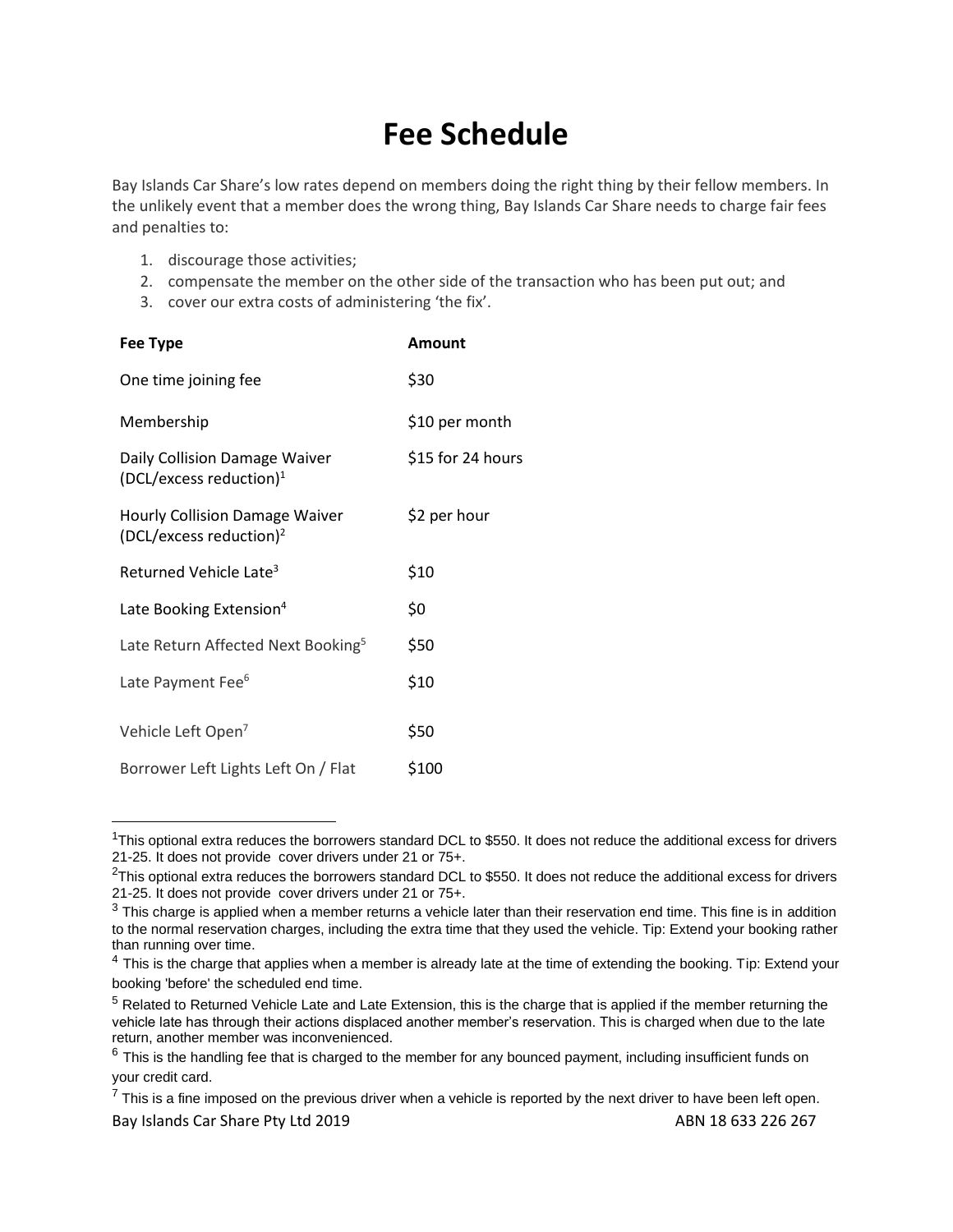## **Fee Schedule**

Bay Islands Car Share's low rates depend on members doing the right thing by their fellow members. In the unlikely event that a member does the wrong thing, Bay Islands Car Share needs to charge fair fees and penalties to:

- 1. discourage those activities;
- 2. compensate the member on the other side of the transaction who has been put out; and
- 3. cover our extra costs of administering 'the fix'.

| <b>Fee Type</b>                                                              | <b>Amount</b>     |
|------------------------------------------------------------------------------|-------------------|
| One time joining fee                                                         | \$30              |
| Membership                                                                   | \$10 per month    |
| Daily Collision Damage Waiver<br>(DCL/excess reduction) <sup>1</sup>         | \$15 for 24 hours |
| <b>Hourly Collision Damage Waiver</b><br>(DCL/excess reduction) <sup>2</sup> | \$2 per hour      |
| Returned Vehicle Late <sup>3</sup>                                           | \$10              |
| Late Booking Extension <sup>4</sup>                                          | \$0               |
| Late Return Affected Next Booking <sup>5</sup>                               | \$50              |
| Late Payment Fee <sup>6</sup>                                                | \$10              |
| Vehicle Left Open <sup>7</sup>                                               | \$50              |
| Borrower Left Lights Left On / Flat                                          | \$100             |

 $1$ This optional extra reduces the borrowers standard DCL to \$550. It does not reduce the additional excess for drivers 21-25. It does not provide cover drivers under 21 or 75+.

 $2$ This optional extra reduces the borrowers standard DCL to \$550. It does not reduce the additional excess for drivers 21-25. It does not provide cover drivers under 21 or 75+.

 $3$  This charge is applied when a member returns a vehicle later than their reservation end time. This fine is in addition to the normal reservation charges, including the extra time that they used the vehicle. Tip: Extend your booking rather than running over time.

 $4$  This is the charge that applies when a member is already late at the time of extending the booking. Tip: Extend your booking 'before' the scheduled end time.

 $<sup>5</sup>$  Related to Returned Vehicle Late and Late Extension, this is the charge that is applied if the member returning the</sup> vehicle late has through their actions displaced another member's reservation. This is charged when due to the late return, another member was inconvenienced.

 $6$  This is the handling fee that is charged to the member for any bounced payment, including insufficient funds on your credit card.

Bay Islands Car Share Pty Ltd 2019 **ABN 18633 226 267**  $7$  This is a fine imposed on the previous driver when a vehicle is reported by the next driver to have been left open.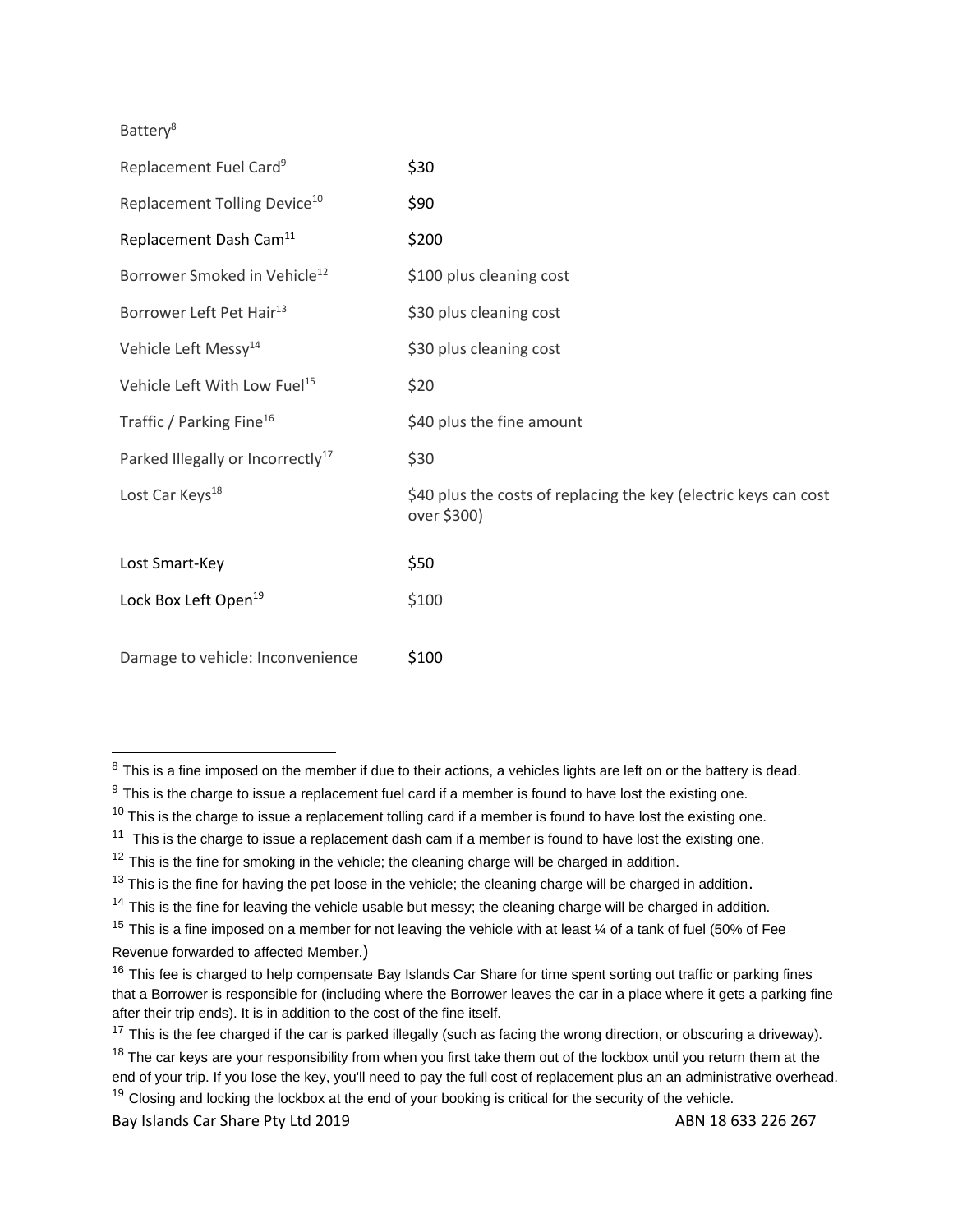Battery<sup>8</sup>

| Replacement Fuel Card <sup>9</sup>            | \$30                                                                            |
|-----------------------------------------------|---------------------------------------------------------------------------------|
| Replacement Tolling Device <sup>10</sup>      | \$90                                                                            |
| Replacement Dash Cam <sup>11</sup>            | \$200                                                                           |
| Borrower Smoked in Vehicle <sup>12</sup>      | \$100 plus cleaning cost                                                        |
| Borrower Left Pet Hair <sup>13</sup>          | \$30 plus cleaning cost                                                         |
| Vehicle Left Messy <sup>14</sup>              | \$30 plus cleaning cost                                                         |
| Vehicle Left With Low Fuel <sup>15</sup>      | \$20                                                                            |
| Traffic / Parking Fine <sup>16</sup>          | \$40 plus the fine amount                                                       |
| Parked Illegally or Incorrectly <sup>17</sup> | \$30                                                                            |
| Lost Car Keys <sup>18</sup>                   | \$40 plus the costs of replacing the key (electric keys can cost<br>over \$300) |
| Lost Smart-Key                                | \$50                                                                            |
| Lock Box Left Open <sup>19</sup>              | \$100                                                                           |
| Damage to vehicle: Inconvenience              | \$100                                                                           |

Bay Islands Car Share Pty Ltd 2019 **ABN 18633 226 267** 

 $8$  This is a fine imposed on the member if due to their actions, a vehicles lights are left on or the battery is dead.

 $9$  This is the charge to issue a replacement fuel card if a member is found to have lost the existing one.

 $10$  This is the charge to issue a replacement tolling card if a member is found to have lost the existing one.

 $11$  This is the charge to issue a replacement dash cam if a member is found to have lost the existing one.

 $12$  This is the fine for smoking in the vehicle; the cleaning charge will be charged in addition.

 $13$  This is the fine for having the pet loose in the vehicle; the cleaning charge will be charged in addition.

 $14$  This is the fine for leaving the vehicle usable but messy; the cleaning charge will be charged in addition.

<sup>&</sup>lt;sup>15</sup> This is a fine imposed on a member for not leaving the vehicle with at least  $\frac{1}{4}$  of a tank of fuel (50% of Fee Revenue forwarded to affected Member.)

<sup>&</sup>lt;sup>16</sup> This fee is charged to help compensate Bay Islands Car Share for time spent sorting out traffic or parking fines that a Borrower is responsible for (including where the Borrower leaves the car in a place where it gets a parking fine after their trip ends). It is in addition to the cost of the fine itself.

<sup>&</sup>lt;sup>17</sup> This is the fee charged if the car is parked illegally (such as facing the wrong direction, or obscuring a driveway).

 $18$  The car keys are your responsibility from when you first take them out of the lockbox until you return them at the end of your trip. If you lose the key, you'll need to pay the full cost of replacement plus an an administrative overhead.  $19$  Closing and locking the lockbox at the end of your booking is critical for the security of the vehicle.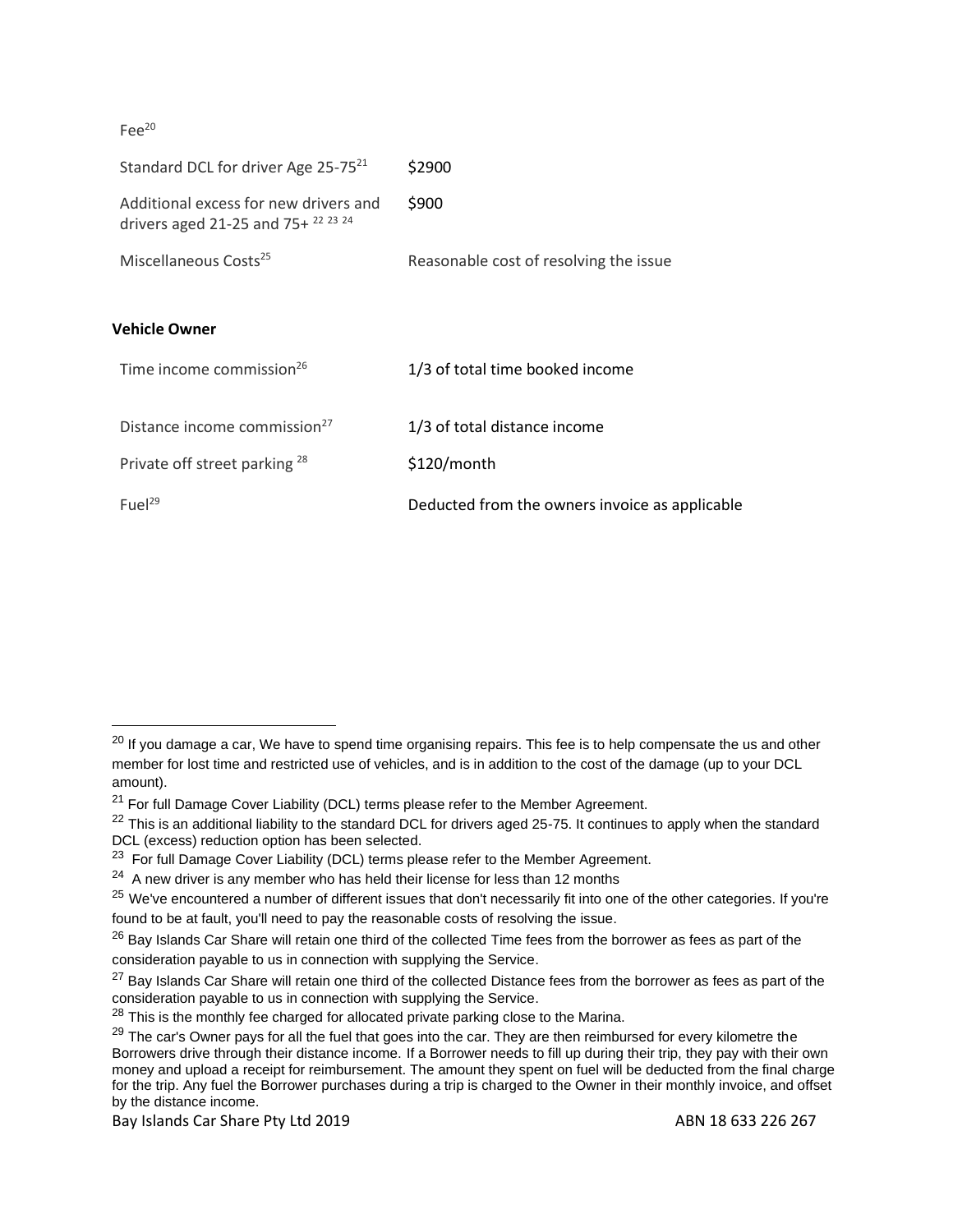Fee<sup>20</sup>

| Standard DCL for driver Age 25-75 <sup>21</sup>                                             | \$2900                                         |
|---------------------------------------------------------------------------------------------|------------------------------------------------|
| Additional excess for new drivers and<br>drivers aged 21-25 and 75+ $^{22}$ $^{23}$ $^{24}$ | \$900                                          |
| Miscellaneous Costs <sup>25</sup>                                                           | Reasonable cost of resolving the issue         |
|                                                                                             |                                                |
| Vehicle Owner                                                                               |                                                |
| Time income commission <sup>26</sup>                                                        | 1/3 of total time booked income                |
|                                                                                             |                                                |
| Distance income commission <sup>27</sup>                                                    | 1/3 of total distance income                   |
| Private off street parking 28                                                               | \$120/month                                    |
| Fuel $^{29}$                                                                                | Deducted from the owners invoice as applicable |

Bay Islands Car Share Pty Ltd 2019 **ABN 18633 226 267** ABN 18 633 226 267

<sup>&</sup>lt;sup>20</sup> If you damage a car, We have to spend time organising repairs. This fee is to help compensate the us and other member for lost time and restricted use of vehicles, and is in addition to the cost of the damage (up to your DCL amount).

 $21$  For full Damage Cover Liability (DCL) terms please refer to the Member Agreement.

 $22$  This is an additional liability to the standard DCL for drivers aged 25-75. It continues to apply when the standard DCL (excess) reduction option has been selected.

 $23$  For full Damage Cover Liability (DCL) terms please refer to the Member Agreement.

 $24$  A new driver is any member who has held their license for less than 12 months

<sup>&</sup>lt;sup>25</sup> We've encountered a number of different issues that don't necessarily fit into one of the other categories. If you're found to be at fault, you'll need to pay the reasonable costs of resolving the issue.

 $^{26}$  Bay Islands Car Share will retain one third of the collected Time fees from the borrower as fees as part of the consideration payable to us in connection with supplying the Service.

 $27$  Bay Islands Car Share will retain one third of the collected Distance fees from the borrower as fees as part of the consideration payable to us in connection with supplying the Service.

 $28$  This is the monthly fee charged for allocated private parking close to the Marina.

<sup>&</sup>lt;sup>29</sup> The car's Owner pays for all the fuel that goes into the car. They are then reimbursed for every kilometre the Borrowers drive through their distance income. If a Borrower needs to fill up during their trip, they pay with their own money and upload a receipt for reimbursement. The amount they spent on fuel will be deducted from the final charge for the trip. Any fuel the Borrower purchases during a trip is charged to the Owner in their monthly invoice, and offset by the distance income.